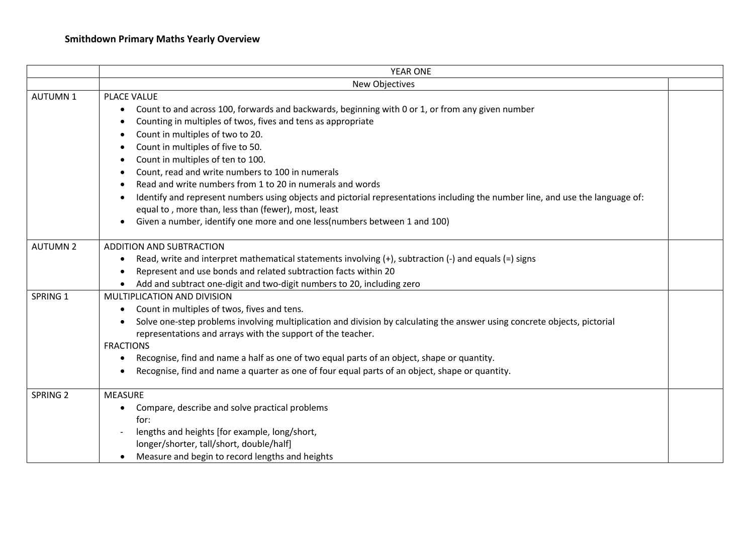|                     | <b>YEAR ONE</b>                                                                                                                                                                                                                                                                                                                                                                                                                                                                                                                                                                                                                                                                                         |  |
|---------------------|---------------------------------------------------------------------------------------------------------------------------------------------------------------------------------------------------------------------------------------------------------------------------------------------------------------------------------------------------------------------------------------------------------------------------------------------------------------------------------------------------------------------------------------------------------------------------------------------------------------------------------------------------------------------------------------------------------|--|
|                     | New Objectives                                                                                                                                                                                                                                                                                                                                                                                                                                                                                                                                                                                                                                                                                          |  |
| <b>AUTUMN1</b>      | PLACE VALUE<br>Count to and across 100, forwards and backwards, beginning with 0 or 1, or from any given number<br>$\bullet$<br>Counting in multiples of twos, fives and tens as appropriate<br>Count in multiples of two to 20.<br>Count in multiples of five to 50.<br>Count in multiples of ten to 100.<br>Count, read and write numbers to 100 in numerals<br>Read and write numbers from 1 to 20 in numerals and words<br>Identify and represent numbers using objects and pictorial representations including the number line, and use the language of:<br>equal to, more than, less than (fewer), most, least<br>Given a number, identify one more and one less (numbers between 1 and 100)<br>٠ |  |
| <b>AUTUMN 2</b>     | <b>ADDITION AND SUBTRACTION</b><br>Read, write and interpret mathematical statements involving (+), subtraction (-) and equals (=) signs<br>٠<br>Represent and use bonds and related subtraction facts within 20<br>Add and subtract one-digit and two-digit numbers to 20, including zero                                                                                                                                                                                                                                                                                                                                                                                                              |  |
| SPRING 1            | MULTIPLICATION AND DIVISION<br>Count in multiples of twos, fives and tens.<br>$\bullet$<br>Solve one-step problems involving multiplication and division by calculating the answer using concrete objects, pictorial<br>$\bullet$<br>representations and arrays with the support of the teacher.<br><b>FRACTIONS</b><br>Recognise, find and name a half as one of two equal parts of an object, shape or quantity.<br>٠<br>Recognise, find and name a quarter as one of four equal parts of an object, shape or quantity.                                                                                                                                                                               |  |
| SPRING <sub>2</sub> | <b>MEASURE</b><br>Compare, describe and solve practical problems<br>$\bullet$<br>for:<br>lengths and heights [for example, long/short,<br>longer/shorter, tall/short, double/half]<br>Measure and begin to record lengths and heights                                                                                                                                                                                                                                                                                                                                                                                                                                                                   |  |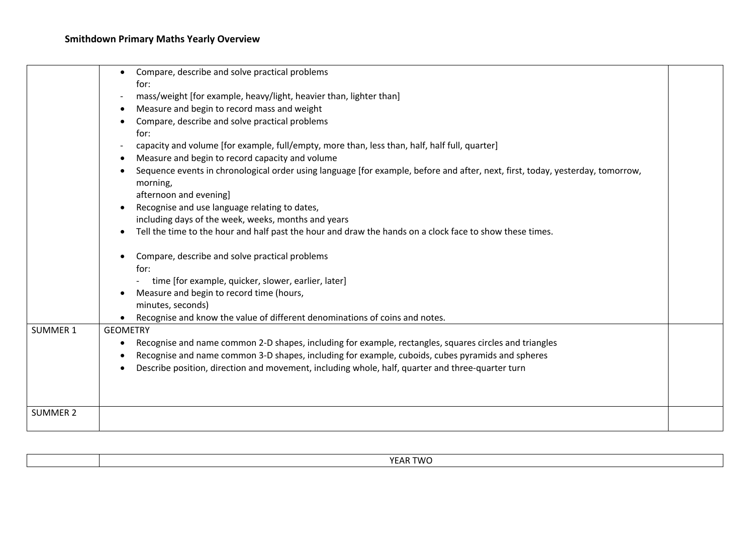| <b>SUMMER 1</b> | Compare, describe and solve practical problems<br>٠<br>for:<br>mass/weight [for example, heavy/light, heavier than, lighter than]<br>Measure and begin to record mass and weight<br>Compare, describe and solve practical problems<br>for:<br>capacity and volume [for example, full/empty, more than, less than, half, half full, quarter]<br>Measure and begin to record capacity and volume<br>Sequence events in chronological order using language [for example, before and after, next, first, today, yesterday, tomorrow,<br>morning,<br>afternoon and evening]<br>Recognise and use language relating to dates,<br>including days of the week, weeks, months and years<br>Tell the time to the hour and half past the hour and draw the hands on a clock face to show these times.<br>Compare, describe and solve practical problems<br>for:<br>time [for example, quicker, slower, earlier, later]<br>Measure and begin to record time (hours,<br>minutes, seconds)<br>Recognise and know the value of different denominations of coins and notes.<br><b>GEOMETRY</b><br>Recognise and name common 2-D shapes, including for example, rectangles, squares circles and triangles<br>Recognise and name common 3-D shapes, including for example, cuboids, cubes pyramids and spheres<br>Describe position, direction and movement, including whole, half, quarter and three-quarter turn |  |
|-----------------|--------------------------------------------------------------------------------------------------------------------------------------------------------------------------------------------------------------------------------------------------------------------------------------------------------------------------------------------------------------------------------------------------------------------------------------------------------------------------------------------------------------------------------------------------------------------------------------------------------------------------------------------------------------------------------------------------------------------------------------------------------------------------------------------------------------------------------------------------------------------------------------------------------------------------------------------------------------------------------------------------------------------------------------------------------------------------------------------------------------------------------------------------------------------------------------------------------------------------------------------------------------------------------------------------------------------------------------------------------------------------------------------------|--|
| <b>SUMMER 2</b> |                                                                                                                                                                                                                                                                                                                                                                                                                                                                                                                                                                                                                                                                                                                                                                                                                                                                                                                                                                                                                                                                                                                                                                                                                                                                                                                                                                                                  |  |

| YEAR TWO<br>.<br>. |
|--------------------|
|--------------------|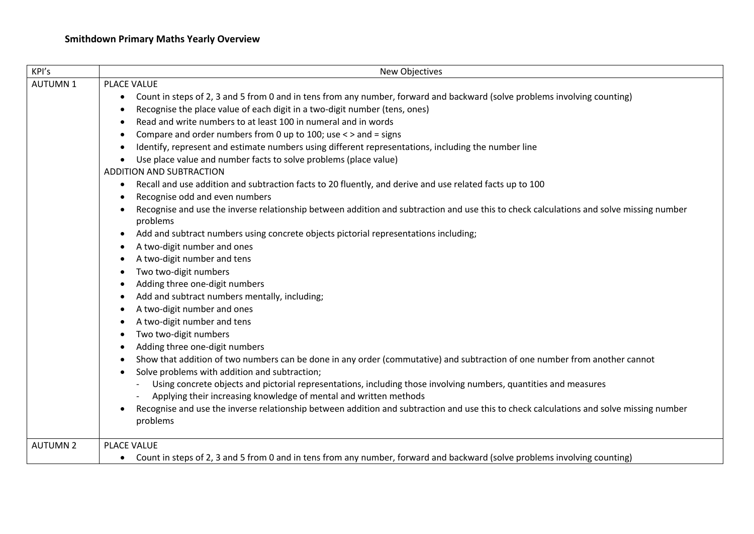| KPI's           | New Objectives                                                                                                                                                                                                       |
|-----------------|----------------------------------------------------------------------------------------------------------------------------------------------------------------------------------------------------------------------|
| <b>AUTUMN1</b>  | PLACE VALUE                                                                                                                                                                                                          |
|                 | Count in steps of 2, 3 and 5 from 0 and in tens from any number, forward and backward (solve problems involving counting)<br>$\bullet$<br>Recognise the place value of each digit in a two-digit number (tens, ones) |
|                 | Read and write numbers to at least 100 in numeral and in words                                                                                                                                                       |
|                 | Compare and order numbers from 0 up to 100; use < > and = signs                                                                                                                                                      |
|                 | Identify, represent and estimate numbers using different representations, including the number line                                                                                                                  |
|                 | Use place value and number facts to solve problems (place value)<br>$\bullet$                                                                                                                                        |
|                 | ADDITION AND SUBTRACTION                                                                                                                                                                                             |
|                 | Recall and use addition and subtraction facts to 20 fluently, and derive and use related facts up to 100<br>$\bullet$                                                                                                |
|                 | Recognise odd and even numbers<br>٠                                                                                                                                                                                  |
|                 | Recognise and use the inverse relationship between addition and subtraction and use this to check calculations and solve missing number<br>problems                                                                  |
|                 | Add and subtract numbers using concrete objects pictorial representations including;<br>$\bullet$                                                                                                                    |
|                 | A two-digit number and ones                                                                                                                                                                                          |
|                 | A two-digit number and tens                                                                                                                                                                                          |
|                 | Two two-digit numbers                                                                                                                                                                                                |
|                 | Adding three one-digit numbers                                                                                                                                                                                       |
|                 | Add and subtract numbers mentally, including;                                                                                                                                                                        |
|                 | A two-digit number and ones                                                                                                                                                                                          |
|                 | A two-digit number and tens                                                                                                                                                                                          |
|                 | Two two-digit numbers                                                                                                                                                                                                |
|                 | Adding three one-digit numbers                                                                                                                                                                                       |
|                 | Show that addition of two numbers can be done in any order (commutative) and subtraction of one number from another cannot                                                                                           |
|                 | Solve problems with addition and subtraction;                                                                                                                                                                        |
|                 | Using concrete objects and pictorial representations, including those involving numbers, quantities and measures<br>Applying their increasing knowledge of mental and written methods                                |
|                 | Recognise and use the inverse relationship between addition and subtraction and use this to check calculations and solve missing number<br>$\bullet$<br>problems                                                     |
| <b>AUTUMN 2</b> | PLACE VALUE                                                                                                                                                                                                          |
|                 | • Count in steps of 2, 3 and 5 from 0 and in tens from any number, forward and backward (solve problems involving counting)                                                                                          |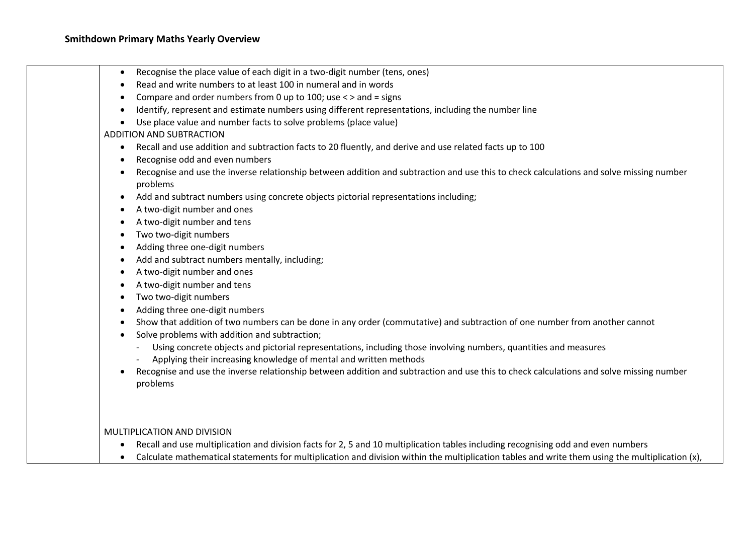- Recognise the place value of each digit in a two-digit number (tens, ones)
- Read and write numbers to at least 100 in numeral and in words
- Compare and order numbers from 0 up to 100; use  $\lt$  > and = signs
- Identify, represent and estimate numbers using different representations, including the number line
- Use place value and number facts to solve problems (place value)

## ADDITION AND SUBTRACTION

- Recall and use addition and subtraction facts to 20 fluently, and derive and use related facts up to 100
- Recognise odd and even numbers
- Recognise and use the inverse relationship between addition and subtraction and use this to check calculations and solve missing number problems
- Add and subtract numbers using concrete objects pictorial representations including;
- A two-digit number and ones
- A two-digit number and tens
- Two two-digit numbers
- Adding three one-digit numbers
- Add and subtract numbers mentally, including;
- A two-digit number and ones
- A two-digit number and tens
- Two two-digit numbers
- Adding three one-digit numbers
- Show that addition of two numbers can be done in any order (commutative) and subtraction of one number from another cannot
- Solve problems with addition and subtraction;
	- Using concrete objects and pictorial representations, including those involving numbers, quantities and measures
	- Applying their increasing knowledge of mental and written methods
- Recognise and use the inverse relationship between addition and subtraction and use this to check calculations and solve missing number problems

MULTIPLICATION AND DIVISION

- Recall and use multiplication and division facts for 2, 5 and 10 multiplication tables including recognising odd and even numbers
- Calculate mathematical statements for multiplication and division within the multiplication tables and write them using the multiplication (x),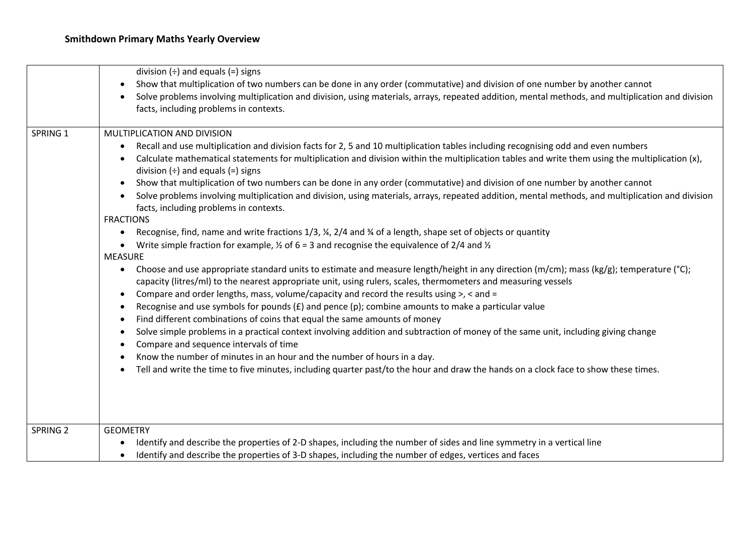|                     | division $(\div)$ and equals $(=)$ signs                                                                                                                                                                                                                               |
|---------------------|------------------------------------------------------------------------------------------------------------------------------------------------------------------------------------------------------------------------------------------------------------------------|
|                     | Show that multiplication of two numbers can be done in any order (commutative) and division of one number by another cannot<br>$\bullet$                                                                                                                               |
|                     | Solve problems involving multiplication and division, using materials, arrays, repeated addition, mental methods, and multiplication and division                                                                                                                      |
|                     | facts, including problems in contexts.                                                                                                                                                                                                                                 |
|                     |                                                                                                                                                                                                                                                                        |
| SPRING 1            | MULTIPLICATION AND DIVISION                                                                                                                                                                                                                                            |
|                     | Recall and use multiplication and division facts for 2, 5 and 10 multiplication tables including recognising odd and even numbers<br>$\bullet$                                                                                                                         |
|                     | Calculate mathematical statements for multiplication and division within the multiplication tables and write them using the multiplication (x),<br>division $(\div)$ and equals $(=)$ signs                                                                            |
|                     | Show that multiplication of two numbers can be done in any order (commutative) and division of one number by another cannot<br>$\bullet$                                                                                                                               |
|                     | Solve problems involving multiplication and division, using materials, arrays, repeated addition, mental methods, and multiplication and division<br>$\bullet$<br>facts, including problems in contexts.                                                               |
|                     | <b>FRACTIONS</b>                                                                                                                                                                                                                                                       |
|                     | Recognise, find, name and write fractions $1/3$ , $\frac{1}{4}$ , $2/4$ and $\frac{1}{4}$ of a length, shape set of objects or quantity<br>$\bullet$                                                                                                                   |
|                     | Write simple fraction for example, $\frac{1}{2}$ of 6 = 3 and recognise the equivalence of 2/4 and $\frac{1}{2}$                                                                                                                                                       |
|                     | <b>MEASURE</b>                                                                                                                                                                                                                                                         |
|                     | Choose and use appropriate standard units to estimate and measure length/height in any direction (m/cm); mass (kg/g); temperature (°C);<br>$\bullet$<br>capacity (litres/ml) to the nearest appropriate unit, using rulers, scales, thermometers and measuring vessels |
|                     | Compare and order lengths, mass, volume/capacity and record the results using >, < and =<br>$\bullet$                                                                                                                                                                  |
|                     | Recognise and use symbols for pounds $(E)$ and pence (p); combine amounts to make a particular value                                                                                                                                                                   |
|                     | Find different combinations of coins that equal the same amounts of money<br>$\bullet$                                                                                                                                                                                 |
|                     | Solve simple problems in a practical context involving addition and subtraction of money of the same unit, including giving change<br>$\bullet$<br>Compare and sequence intervals of time<br>$\bullet$                                                                 |
|                     | Know the number of minutes in an hour and the number of hours in a day.                                                                                                                                                                                                |
|                     | Tell and write the time to five minutes, including quarter past/to the hour and draw the hands on a clock face to show these times.                                                                                                                                    |
|                     |                                                                                                                                                                                                                                                                        |
|                     |                                                                                                                                                                                                                                                                        |
| SPRING <sub>2</sub> | <b>GEOMETRY</b>                                                                                                                                                                                                                                                        |
|                     | Identify and describe the properties of 2-D shapes, including the number of sides and line symmetry in a vertical line<br>$\bullet$                                                                                                                                    |
|                     | Identify and describe the properties of 3-D shapes, including the number of edges, vertices and faces<br>$\bullet$                                                                                                                                                     |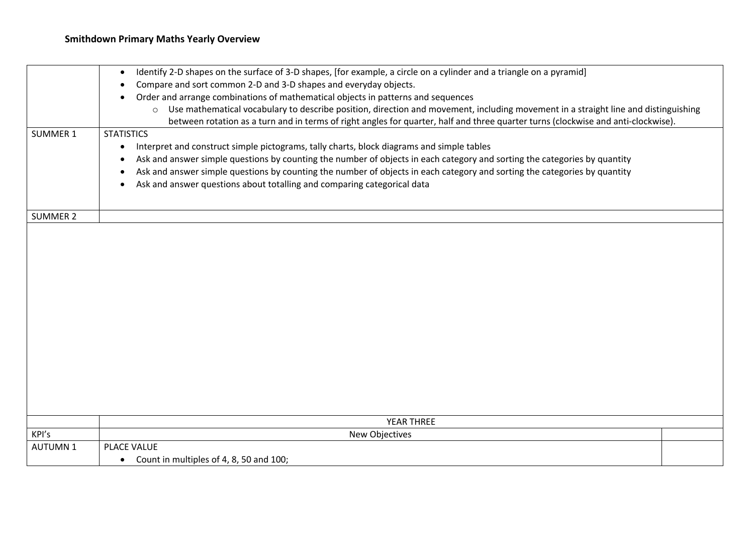## **Smithdown Primary Maths Yearly Overview**

|                 | Identify 2-D shapes on the surface of 3-D shapes, [for example, a circle on a cylinder and a triangle on a pyramid]<br>$\bullet$              |
|-----------------|-----------------------------------------------------------------------------------------------------------------------------------------------|
|                 | Compare and sort common 2-D and 3-D shapes and everyday objects.                                                                              |
|                 | Order and arrange combinations of mathematical objects in patterns and sequences                                                              |
|                 | Use mathematical vocabulary to describe position, direction and movement, including movement in a straight line and distinguishing<br>$\circ$ |
|                 | between rotation as a turn and in terms of right angles for quarter, half and three quarter turns (clockwise and anti-clockwise).             |
| <b>SUMMER 1</b> | <b>STATISTICS</b>                                                                                                                             |
|                 | Interpret and construct simple pictograms, tally charts, block diagrams and simple tables<br>$\bullet$                                        |
|                 | Ask and answer simple questions by counting the number of objects in each category and sorting the categories by quantity                     |
|                 | Ask and answer simple questions by counting the number of objects in each category and sorting the categories by quantity                     |
|                 | Ask and answer questions about totalling and comparing categorical data<br>٠                                                                  |
|                 |                                                                                                                                               |
| <b>SUMMER 2</b> |                                                                                                                                               |
|                 |                                                                                                                                               |
|                 |                                                                                                                                               |
|                 |                                                                                                                                               |
|                 |                                                                                                                                               |
|                 |                                                                                                                                               |
|                 |                                                                                                                                               |
|                 |                                                                                                                                               |
|                 |                                                                                                                                               |
|                 |                                                                                                                                               |
|                 |                                                                                                                                               |
|                 |                                                                                                                                               |
|                 |                                                                                                                                               |
|                 |                                                                                                                                               |
|                 |                                                                                                                                               |
|                 |                                                                                                                                               |
|                 | YEAR THREE                                                                                                                                    |
| KPI's           | New Objectives                                                                                                                                |
| <b>AUTUMN1</b>  | PLACE VALUE                                                                                                                                   |
|                 | Count in multiples of 4, 8, 50 and 100;<br>$\bullet$                                                                                          |
|                 |                                                                                                                                               |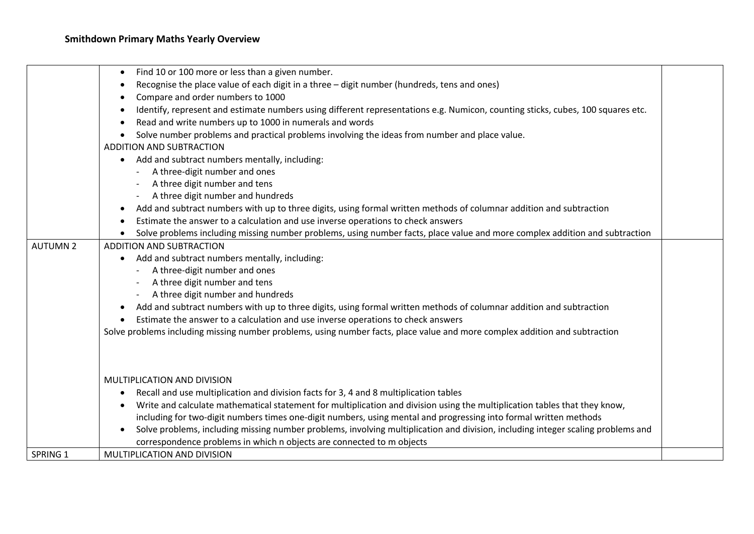|                 | Find 10 or 100 more or less than a given number.                                                                                 |  |
|-----------------|----------------------------------------------------------------------------------------------------------------------------------|--|
|                 | Recognise the place value of each digit in a three - digit number (hundreds, tens and ones)                                      |  |
|                 | Compare and order numbers to 1000                                                                                                |  |
|                 | Identify, represent and estimate numbers using different representations e.g. Numicon, counting sticks, cubes, 100 squares etc.  |  |
|                 | Read and write numbers up to 1000 in numerals and words                                                                          |  |
|                 | Solve number problems and practical problems involving the ideas from number and place value.                                    |  |
|                 | ADDITION AND SUBTRACTION                                                                                                         |  |
|                 | Add and subtract numbers mentally, including:<br>$\bullet$                                                                       |  |
|                 | A three-digit number and ones                                                                                                    |  |
|                 | A three digit number and tens                                                                                                    |  |
|                 | A three digit number and hundreds                                                                                                |  |
|                 | Add and subtract numbers with up to three digits, using formal written methods of columnar addition and subtraction              |  |
|                 | Estimate the answer to a calculation and use inverse operations to check answers                                                 |  |
|                 | Solve problems including missing number problems, using number facts, place value and more complex addition and subtraction      |  |
| <b>AUTUMN 2</b> | ADDITION AND SUBTRACTION                                                                                                         |  |
|                 | Add and subtract numbers mentally, including:                                                                                    |  |
|                 | A three-digit number and ones                                                                                                    |  |
|                 | A three digit number and tens                                                                                                    |  |
|                 | A three digit number and hundreds                                                                                                |  |
|                 | Add and subtract numbers with up to three digits, using formal written methods of columnar addition and subtraction              |  |
|                 | Estimate the answer to a calculation and use inverse operations to check answers                                                 |  |
|                 | Solve problems including missing number problems, using number facts, place value and more complex addition and subtraction      |  |
|                 |                                                                                                                                  |  |
|                 |                                                                                                                                  |  |
|                 | MULTIPLICATION AND DIVISION                                                                                                      |  |
|                 | Recall and use multiplication and division facts for 3, 4 and 8 multiplication tables<br>$\bullet$                               |  |
|                 | Write and calculate mathematical statement for multiplication and division using the multiplication tables that they know,       |  |
|                 | including for two-digit numbers times one-digit numbers, using mental and progressing into formal written methods                |  |
|                 | Solve problems, including missing number problems, involving multiplication and division, including integer scaling problems and |  |
|                 | correspondence problems in which n objects are connected to m objects                                                            |  |
| SPRING 1        | MULTIPLICATION AND DIVISION                                                                                                      |  |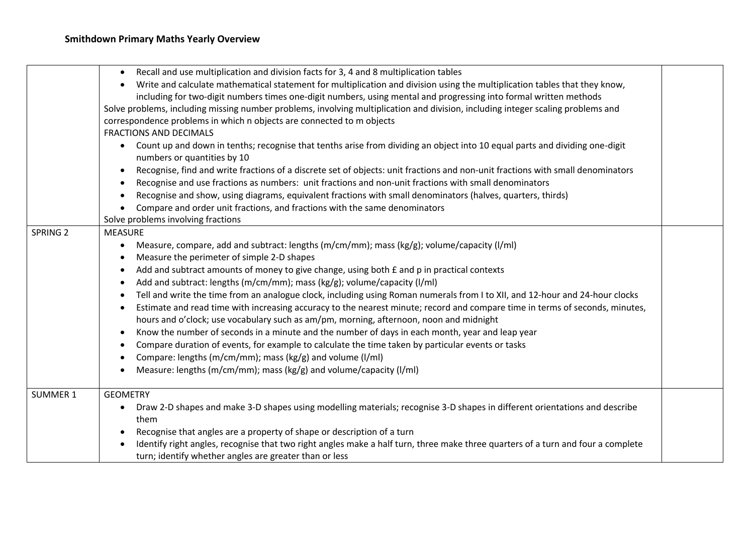|                     | Recall and use multiplication and division facts for 3, 4 and 8 multiplication tables<br>$\bullet$<br>Write and calculate mathematical statement for multiplication and division using the multiplication tables that they know,<br>$\bullet$<br>including for two-digit numbers times one-digit numbers, using mental and progressing into formal written methods<br>Solve problems, including missing number problems, involving multiplication and division, including integer scaling problems and<br>correspondence problems in which n objects are connected to m objects<br><b>FRACTIONS AND DECIMALS</b><br>Count up and down in tenths; recognise that tenths arise from dividing an object into 10 equal parts and dividing one-digit<br>$\bullet$<br>numbers or quantities by 10<br>Recognise, find and write fractions of a discrete set of objects: unit fractions and non-unit fractions with small denominators<br>$\bullet$                                                                                                                                                                                                                    |  |
|---------------------|----------------------------------------------------------------------------------------------------------------------------------------------------------------------------------------------------------------------------------------------------------------------------------------------------------------------------------------------------------------------------------------------------------------------------------------------------------------------------------------------------------------------------------------------------------------------------------------------------------------------------------------------------------------------------------------------------------------------------------------------------------------------------------------------------------------------------------------------------------------------------------------------------------------------------------------------------------------------------------------------------------------------------------------------------------------------------------------------------------------------------------------------------------------|--|
|                     | Recognise and use fractions as numbers: unit fractions and non-unit fractions with small denominators<br>$\bullet$<br>Recognise and show, using diagrams, equivalent fractions with small denominators (halves, quarters, thirds)<br>$\bullet$<br>Compare and order unit fractions, and fractions with the same denominators<br>$\bullet$<br>Solve problems involving fractions                                                                                                                                                                                                                                                                                                                                                                                                                                                                                                                                                                                                                                                                                                                                                                                |  |
| SPRING <sub>2</sub> | <b>MEASURE</b><br>Measure, compare, add and subtract: lengths (m/cm/mm); mass (kg/g); volume/capacity (l/ml)<br>$\bullet$<br>Measure the perimeter of simple 2-D shapes<br>$\bullet$<br>Add and subtract amounts of money to give change, using both £ and p in practical contexts<br>$\bullet$<br>Add and subtract: lengths (m/cm/mm); mass (kg/g); volume/capacity (l/ml)<br>$\bullet$<br>Tell and write the time from an analogue clock, including using Roman numerals from I to XII, and 12-hour and 24-hour clocks<br>$\bullet$<br>Estimate and read time with increasing accuracy to the nearest minute; record and compare time in terms of seconds, minutes,<br>$\bullet$<br>hours and o'clock; use vocabulary such as am/pm, morning, afternoon, noon and midnight<br>Know the number of seconds in a minute and the number of days in each month, year and leap year<br>$\bullet$<br>Compare duration of events, for example to calculate the time taken by particular events or tasks<br>$\bullet$<br>Compare: lengths (m/cm/mm); mass (kg/g) and volume (l/ml)<br>$\bullet$<br>Measure: lengths (m/cm/mm); mass (kg/g) and volume/capacity (l/ml) |  |
| <b>SUMMER 1</b>     | <b>GEOMETRY</b><br>Draw 2-D shapes and make 3-D shapes using modelling materials; recognise 3-D shapes in different orientations and describe<br>$\bullet$<br>them<br>Recognise that angles are a property of shape or description of a turn<br>$\bullet$<br>Identify right angles, recognise that two right angles make a half turn, three make three quarters of a turn and four a complete<br>turn; identify whether angles are greater than or less                                                                                                                                                                                                                                                                                                                                                                                                                                                                                                                                                                                                                                                                                                        |  |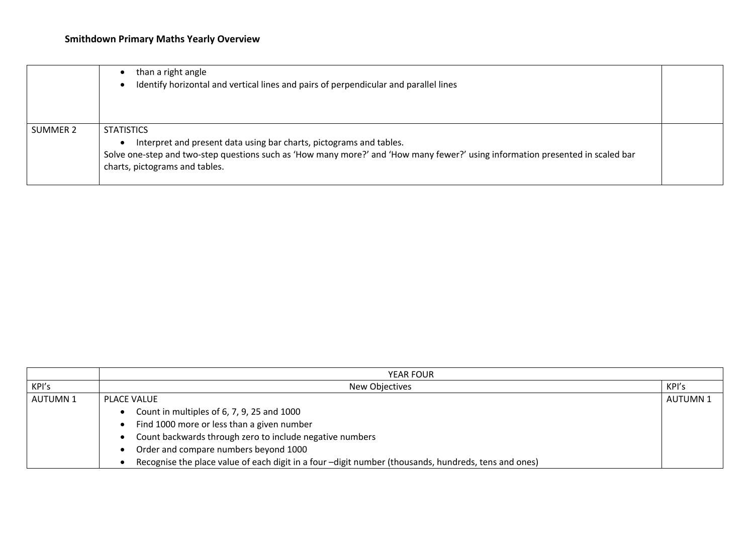|          | than a right angle<br>Identify horizontal and vertical lines and pairs of perpendicular and parallel lines                                                                                                                                                   |  |
|----------|--------------------------------------------------------------------------------------------------------------------------------------------------------------------------------------------------------------------------------------------------------------|--|
| SUMMER 2 | <b>STATISTICS</b><br>Interpret and present data using bar charts, pictograms and tables.<br>Solve one-step and two-step questions such as 'How many more?' and 'How many fewer?' using information presented in scaled bar<br>charts, pictograms and tables. |  |

|                | <b>YEAR FOUR</b>                                                                                     |                 |
|----------------|------------------------------------------------------------------------------------------------------|-----------------|
| KPI's          | New Objectives                                                                                       | KPI's           |
| <b>AUTUMN1</b> | PLACE VALUE                                                                                          | <b>AUTUMN 1</b> |
|                | Count in multiples of 6, 7, 9, 25 and 1000                                                           |                 |
|                | Find 1000 more or less than a given number                                                           |                 |
|                | Count backwards through zero to include negative numbers                                             |                 |
|                | Order and compare numbers beyond 1000                                                                |                 |
|                | Recognise the place value of each digit in a four -digit number (thousands, hundreds, tens and ones) |                 |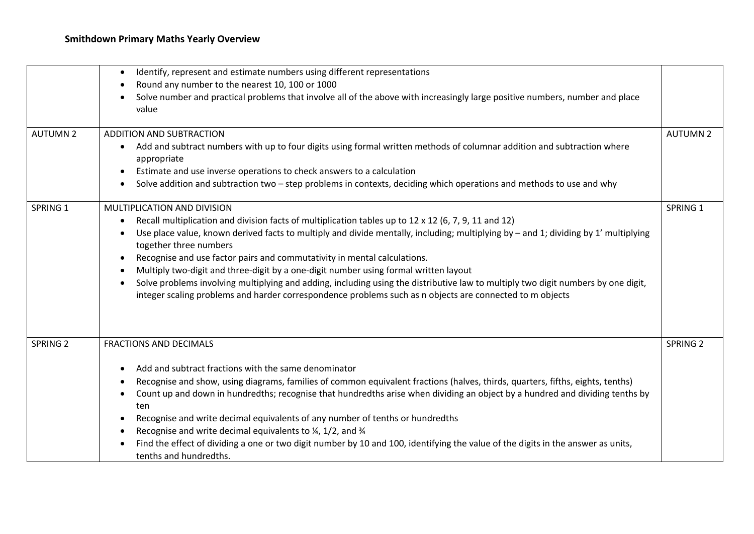|                 | Identify, represent and estimate numbers using different representations<br>$\bullet$                                                                                                                                                         |                     |
|-----------------|-----------------------------------------------------------------------------------------------------------------------------------------------------------------------------------------------------------------------------------------------|---------------------|
|                 | Round any number to the nearest 10, 100 or 1000<br>٠                                                                                                                                                                                          |                     |
|                 | Solve number and practical problems that involve all of the above with increasingly large positive numbers, number and place<br>value                                                                                                         |                     |
| <b>AUTUMN 2</b> | <b>ADDITION AND SUBTRACTION</b>                                                                                                                                                                                                               | <b>AUTUMN 2</b>     |
|                 | Add and subtract numbers with up to four digits using formal written methods of columnar addition and subtraction where<br>$\bullet$<br>appropriate                                                                                           |                     |
|                 | Estimate and use inverse operations to check answers to a calculation<br>$\bullet$                                                                                                                                                            |                     |
|                 | Solve addition and subtraction two - step problems in contexts, deciding which operations and methods to use and why<br>$\bullet$                                                                                                             |                     |
| SPRING 1        | MULTIPLICATION AND DIVISION                                                                                                                                                                                                                   | SPRING 1            |
|                 | Recall multiplication and division facts of multiplication tables up to $12 \times 12$ (6, 7, 9, 11 and 12)<br>$\bullet$                                                                                                                      |                     |
|                 | Use place value, known derived facts to multiply and divide mentally, including; multiplying by - and 1; dividing by 1' multiplying<br>together three numbers                                                                                 |                     |
|                 | Recognise and use factor pairs and commutativity in mental calculations.<br>$\bullet$                                                                                                                                                         |                     |
|                 | Multiply two-digit and three-digit by a one-digit number using formal written layout<br>$\bullet$                                                                                                                                             |                     |
|                 | Solve problems involving multiplying and adding, including using the distributive law to multiply two digit numbers by one digit,<br>integer scaling problems and harder correspondence problems such as n objects are connected to m objects |                     |
|                 |                                                                                                                                                                                                                                               |                     |
| <b>SPRING 2</b> | <b>FRACTIONS AND DECIMALS</b>                                                                                                                                                                                                                 | SPRING <sub>2</sub> |
|                 | Add and subtract fractions with the same denominator<br>$\bullet$                                                                                                                                                                             |                     |
|                 | Recognise and show, using diagrams, families of common equivalent fractions (halves, thirds, quarters, fifths, eights, tenths)<br>٠                                                                                                           |                     |
|                 | Count up and down in hundredths; recognise that hundredths arise when dividing an object by a hundred and dividing tenths by<br>$\bullet$                                                                                                     |                     |
|                 | ten                                                                                                                                                                                                                                           |                     |
|                 | Recognise and write decimal equivalents of any number of tenths or hundredths<br>$\bullet$                                                                                                                                                    |                     |
|                 | Recognise and write decimal equivalents to $\frac{1}{4}$ , 1/2, and $\frac{3}{4}$<br>٠                                                                                                                                                        |                     |
|                 | Find the effect of dividing a one or two digit number by 10 and 100, identifying the value of the digits in the answer as units,<br>tenths and hundredths.                                                                                    |                     |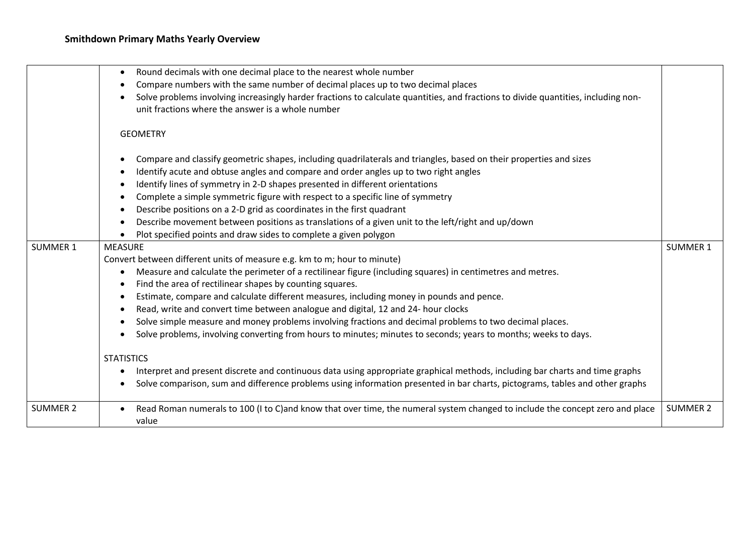|                 | Round decimals with one decimal place to the nearest whole number                                                                     |                 |
|-----------------|---------------------------------------------------------------------------------------------------------------------------------------|-----------------|
|                 | Compare numbers with the same number of decimal places up to two decimal places<br>$\bullet$                                          |                 |
|                 | Solve problems involving increasingly harder fractions to calculate quantities, and fractions to divide quantities, including non-    |                 |
|                 | unit fractions where the answer is a whole number                                                                                     |                 |
|                 |                                                                                                                                       |                 |
|                 | <b>GEOMETRY</b>                                                                                                                       |                 |
|                 | Compare and classify geometric shapes, including quadrilaterals and triangles, based on their properties and sizes<br>$\epsilon$      |                 |
|                 | Identify acute and obtuse angles and compare and order angles up to two right angles                                                  |                 |
|                 | Identify lines of symmetry in 2-D shapes presented in different orientations<br>$\bullet$                                             |                 |
|                 | Complete a simple symmetric figure with respect to a specific line of symmetry                                                        |                 |
|                 | Describe positions on a 2-D grid as coordinates in the first quadrant<br>$\epsilon$                                                   |                 |
|                 | Describe movement between positions as translations of a given unit to the left/right and up/down<br>$\bullet$                        |                 |
|                 | Plot specified points and draw sides to complete a given polygon                                                                      |                 |
| SUMMER 1        | <b>MEASURE</b>                                                                                                                        | <b>SUMMER 1</b> |
|                 | Convert between different units of measure e.g. km to m; hour to minute)                                                              |                 |
|                 | Measure and calculate the perimeter of a rectilinear figure (including squares) in centimetres and metres.<br>$\bullet$               |                 |
|                 | Find the area of rectilinear shapes by counting squares.<br>$\bullet$                                                                 |                 |
|                 | Estimate, compare and calculate different measures, including money in pounds and pence.<br>$\bullet$                                 |                 |
|                 | Read, write and convert time between analogue and digital, 12 and 24- hour clocks<br>$\bullet$                                        |                 |
|                 | Solve simple measure and money problems involving fractions and decimal problems to two decimal places.                               |                 |
|                 | Solve problems, involving converting from hours to minutes; minutes to seconds; years to months; weeks to days.                       |                 |
|                 | <b>STATISTICS</b>                                                                                                                     |                 |
|                 | Interpret and present discrete and continuous data using appropriate graphical methods, including bar charts and time graphs          |                 |
|                 | Solve comparison, sum and difference problems using information presented in bar charts, pictograms, tables and other graphs          |                 |
|                 |                                                                                                                                       |                 |
| <b>SUMMER 2</b> | Read Roman numerals to 100 (I to C)and know that over time, the numeral system changed to include the concept zero and place<br>value | <b>SUMMER 2</b> |
|                 |                                                                                                                                       |                 |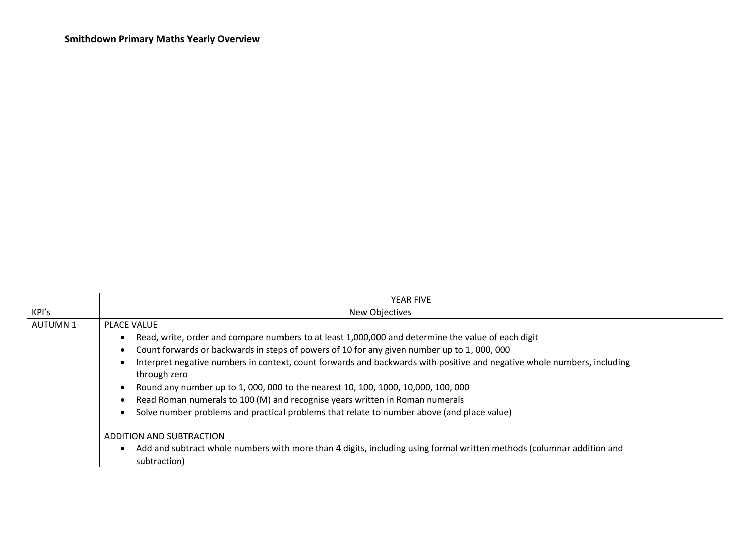|                | YEAR FIVE                                                                                                                                                                                                                                                                                                                                                                                                                                                                                                                                                                                                                                                |  |
|----------------|----------------------------------------------------------------------------------------------------------------------------------------------------------------------------------------------------------------------------------------------------------------------------------------------------------------------------------------------------------------------------------------------------------------------------------------------------------------------------------------------------------------------------------------------------------------------------------------------------------------------------------------------------------|--|
| KPI's          | New Objectives                                                                                                                                                                                                                                                                                                                                                                                                                                                                                                                                                                                                                                           |  |
| <b>AUTUMN1</b> | PLACE VALUE<br>Read, write, order and compare numbers to at least 1,000,000 and determine the value of each digit<br>Count forwards or backwards in steps of powers of 10 for any given number up to 1,000,000<br>Interpret negative numbers in context, count forwards and backwards with positive and negative whole numbers, including<br>through zero<br>Round any number up to 1, 000, 000 to the nearest 10, 100, 1000, 10,000, 100, 000<br>Read Roman numerals to 100 (M) and recognise years written in Roman numerals<br>Solve number problems and practical problems that relate to number above (and place value)<br>ADDITION AND SUBTRACTION |  |
|                | Add and subtract whole numbers with more than 4 digits, including using formal written methods (columnar addition and<br>subtraction)                                                                                                                                                                                                                                                                                                                                                                                                                                                                                                                    |  |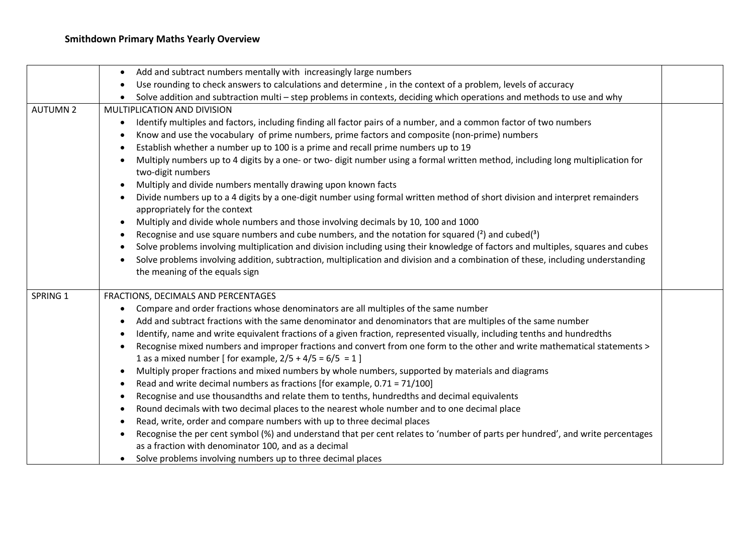## **Smithdown Primary Maths Yearly Overview**

|                 | Add and subtract numbers mentally with increasingly large numbers<br>$\bullet$                                                                                                 |  |
|-----------------|--------------------------------------------------------------------------------------------------------------------------------------------------------------------------------|--|
|                 | Use rounding to check answers to calculations and determine, in the context of a problem, levels of accuracy                                                                   |  |
|                 | Solve addition and subtraction multi – step problems in contexts, deciding which operations and methods to use and why                                                         |  |
| <b>AUTUMN 2</b> | MULTIPLICATION AND DIVISION                                                                                                                                                    |  |
|                 | Identify multiples and factors, including finding all factor pairs of a number, and a common factor of two numbers<br>$\bullet$                                                |  |
|                 | Know and use the vocabulary of prime numbers, prime factors and composite (non-prime) numbers<br>$\bullet$                                                                     |  |
|                 | Establish whether a number up to 100 is a prime and recall prime numbers up to 19                                                                                              |  |
|                 | Multiply numbers up to 4 digits by a one- or two- digit number using a formal written method, including long multiplication for<br>$\bullet$<br>two-digit numbers              |  |
|                 | Multiply and divide numbers mentally drawing upon known facts<br>$\bullet$                                                                                                     |  |
|                 | Divide numbers up to a 4 digits by a one-digit number using formal written method of short division and interpret remainders<br>$\bullet$<br>appropriately for the context     |  |
|                 | Multiply and divide whole numbers and those involving decimals by 10, 100 and 1000<br>$\bullet$                                                                                |  |
|                 | Recognise and use square numbers and cube numbers, and the notation for squared $(2)$ and cubed $(3)$                                                                          |  |
|                 | Solve problems involving multiplication and division including using their knowledge of factors and multiples, squares and cubes<br>$\bullet$                                  |  |
|                 | Solve problems involving addition, subtraction, multiplication and division and a combination of these, including understanding<br>$\bullet$<br>the meaning of the equals sign |  |
| SPRING 1        | FRACTIONS, DECIMALS AND PERCENTAGES                                                                                                                                            |  |
|                 | Compare and order fractions whose denominators are all multiples of the same number                                                                                            |  |
|                 | Add and subtract fractions with the same denominator and denominators that are multiples of the same number<br>$\bullet$                                                       |  |
|                 | Identify, name and write equivalent fractions of a given fraction, represented visually, including tenths and hundredths                                                       |  |
|                 | Recognise mixed numbers and improper fractions and convert from one form to the other and write mathematical statements ><br>$\bullet$                                         |  |
|                 | 1 as a mixed number [ for example, $2/5 + 4/5 = 6/5 = 1$ ]                                                                                                                     |  |
|                 | Multiply proper fractions and mixed numbers by whole numbers, supported by materials and diagrams<br>$\bullet$                                                                 |  |
|                 | Read and write decimal numbers as fractions [for example, 0.71 = 71/100]<br>$\bullet$                                                                                          |  |
|                 | Recognise and use thousandths and relate them to tenths, hundredths and decimal equivalents<br>$\bullet$                                                                       |  |
|                 | Round decimals with two decimal places to the nearest whole number and to one decimal place<br>$\bullet$                                                                       |  |
|                 | Read, write, order and compare numbers with up to three decimal places<br>$\bullet$                                                                                            |  |
|                 | Recognise the per cent symbol (%) and understand that per cent relates to 'number of parts per hundred', and write percentages<br>$\bullet$                                    |  |
|                 | as a fraction with denominator 100, and as a decimal                                                                                                                           |  |
|                 | Solve problems involving numbers up to three decimal places                                                                                                                    |  |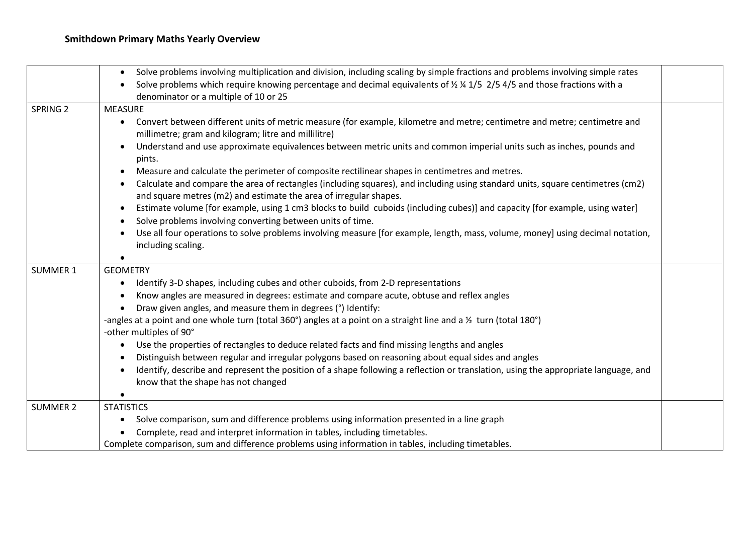|                     | Solve problems involving multiplication and division, including scaling by simple fractions and problems involving simple rates<br>$\bullet$                                                                         |  |
|---------------------|----------------------------------------------------------------------------------------------------------------------------------------------------------------------------------------------------------------------|--|
|                     | Solve problems which require knowing percentage and decimal equivalents of $\frac{1}{2}$ /4 1/5 2/5 4/5 and those fractions with a                                                                                   |  |
|                     | denominator or a multiple of 10 or 25                                                                                                                                                                                |  |
| SPRING <sub>2</sub> | <b>MEASURE</b>                                                                                                                                                                                                       |  |
|                     | Convert between different units of metric measure (for example, kilometre and metre; centimetre and metre; centimetre and<br>$\bullet$<br>millimetre; gram and kilogram; litre and millilitre)                       |  |
|                     | Understand and use approximate equivalences between metric units and common imperial units such as inches, pounds and<br>$\bullet$<br>pints.                                                                         |  |
|                     | Measure and calculate the perimeter of composite rectilinear shapes in centimetres and metres.<br>$\bullet$                                                                                                          |  |
|                     | Calculate and compare the area of rectangles (including squares), and including using standard units, square centimetres (cm2)<br>$\bullet$<br>and square metres (m2) and estimate the area of irregular shapes.     |  |
|                     | Estimate volume [for example, using 1 cm3 blocks to build cuboids (including cubes)] and capacity [for example, using water]<br>$\bullet$<br>Solve problems involving converting between units of time.<br>$\bullet$ |  |
|                     | Use all four operations to solve problems involving measure [for example, length, mass, volume, money] using decimal notation,<br>$\bullet$<br>including scaling.                                                    |  |
|                     |                                                                                                                                                                                                                      |  |
| <b>SUMMER 1</b>     | <b>GEOMETRY</b>                                                                                                                                                                                                      |  |
|                     | Identify 3-D shapes, including cubes and other cuboids, from 2-D representations<br>$\bullet$                                                                                                                        |  |
|                     | Know angles are measured in degrees: estimate and compare acute, obtuse and reflex angles<br>$\bullet$                                                                                                               |  |
|                     | Draw given angles, and measure them in degrees (°) Identify:                                                                                                                                                         |  |
|                     | -angles at a point and one whole turn (total 360°) angles at a point on a straight line and a $\frac{1}{2}$ turn (total 180°)                                                                                        |  |
|                     | -other multiples of 90°                                                                                                                                                                                              |  |
|                     | Use the properties of rectangles to deduce related facts and find missing lengths and angles<br>$\bullet$                                                                                                            |  |
|                     | Distinguish between regular and irregular polygons based on reasoning about equal sides and angles<br>$\bullet$                                                                                                      |  |
|                     | Identify, describe and represent the position of a shape following a reflection or translation, using the appropriate language, and<br>$\bullet$<br>know that the shape has not changed                              |  |
|                     | $\bullet$                                                                                                                                                                                                            |  |
| <b>SUMMER 2</b>     | <b>STATISTICS</b>                                                                                                                                                                                                    |  |
|                     | Solve comparison, sum and difference problems using information presented in a line graph<br>$\bullet$                                                                                                               |  |
|                     | Complete, read and interpret information in tables, including timetables.                                                                                                                                            |  |
|                     | Complete comparison, sum and difference problems using information in tables, including timetables.                                                                                                                  |  |
|                     |                                                                                                                                                                                                                      |  |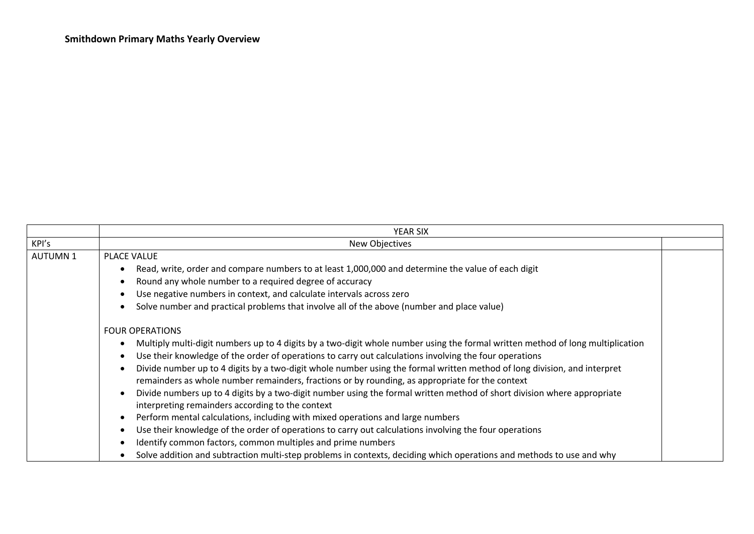|                | <b>YEAR SIX</b>                                                                                                                                                                                                                                                                                                                                                                                                                                                                                                                                                                                                                                                                                                                                                                                                                                                                                                                                                                                                                                                     |  |
|----------------|---------------------------------------------------------------------------------------------------------------------------------------------------------------------------------------------------------------------------------------------------------------------------------------------------------------------------------------------------------------------------------------------------------------------------------------------------------------------------------------------------------------------------------------------------------------------------------------------------------------------------------------------------------------------------------------------------------------------------------------------------------------------------------------------------------------------------------------------------------------------------------------------------------------------------------------------------------------------------------------------------------------------------------------------------------------------|--|
| KPI's          | <b>New Objectives</b>                                                                                                                                                                                                                                                                                                                                                                                                                                                                                                                                                                                                                                                                                                                                                                                                                                                                                                                                                                                                                                               |  |
| <b>AUTUMN1</b> | <b>PLACE VALUE</b>                                                                                                                                                                                                                                                                                                                                                                                                                                                                                                                                                                                                                                                                                                                                                                                                                                                                                                                                                                                                                                                  |  |
|                | Read, write, order and compare numbers to at least 1,000,000 and determine the value of each digit                                                                                                                                                                                                                                                                                                                                                                                                                                                                                                                                                                                                                                                                                                                                                                                                                                                                                                                                                                  |  |
|                | Round any whole number to a required degree of accuracy                                                                                                                                                                                                                                                                                                                                                                                                                                                                                                                                                                                                                                                                                                                                                                                                                                                                                                                                                                                                             |  |
|                | Use negative numbers in context, and calculate intervals across zero                                                                                                                                                                                                                                                                                                                                                                                                                                                                                                                                                                                                                                                                                                                                                                                                                                                                                                                                                                                                |  |
|                | Solve number and practical problems that involve all of the above (number and place value)                                                                                                                                                                                                                                                                                                                                                                                                                                                                                                                                                                                                                                                                                                                                                                                                                                                                                                                                                                          |  |
|                | <b>FOUR OPERATIONS</b><br>Multiply multi-digit numbers up to 4 digits by a two-digit whole number using the formal written method of long multiplication<br>Use their knowledge of the order of operations to carry out calculations involving the four operations<br>Divide number up to 4 digits by a two-digit whole number using the formal written method of long division, and interpret<br>remainders as whole number remainders, fractions or by rounding, as appropriate for the context<br>Divide numbers up to 4 digits by a two-digit number using the formal written method of short division where appropriate<br>interpreting remainders according to the context<br>Perform mental calculations, including with mixed operations and large numbers<br>Use their knowledge of the order of operations to carry out calculations involving the four operations<br>Identify common factors, common multiples and prime numbers<br>Solve addition and subtraction multi-step problems in contexts, deciding which operations and methods to use and why |  |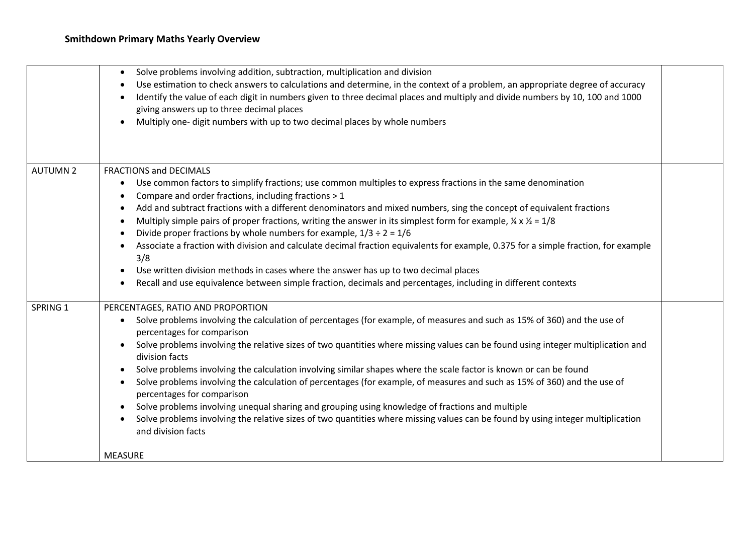|                 | Solve problems involving addition, subtraction, multiplication and division<br>٠<br>Use estimation to check answers to calculations and determine, in the context of a problem, an appropriate degree of accuracy<br>Identify the value of each digit in numbers given to three decimal places and multiply and divide numbers by 10, 100 and 1000<br>giving answers up to three decimal places<br>Multiply one- digit numbers with up to two decimal places by whole numbers                                                                                                                                                                                                                                                                                                                                                                                                                                               |  |
|-----------------|-----------------------------------------------------------------------------------------------------------------------------------------------------------------------------------------------------------------------------------------------------------------------------------------------------------------------------------------------------------------------------------------------------------------------------------------------------------------------------------------------------------------------------------------------------------------------------------------------------------------------------------------------------------------------------------------------------------------------------------------------------------------------------------------------------------------------------------------------------------------------------------------------------------------------------|--|
| <b>AUTUMN 2</b> | <b>FRACTIONS and DECIMALS</b><br>Use common factors to simplify fractions; use common multiples to express fractions in the same denomination<br>٠<br>Compare and order fractions, including fractions > 1<br>Add and subtract fractions with a different denominators and mixed numbers, sing the concept of equivalent fractions<br>Multiply simple pairs of proper fractions, writing the answer in its simplest form for example, $\frac{1}{4} \times \frac{1}{2} = 1/8$<br>Divide proper fractions by whole numbers for example, $1/3 \div 2 = 1/6$<br>$\bullet$<br>Associate a fraction with division and calculate decimal fraction equivalents for example, 0.375 for a simple fraction, for example<br>3/8<br>Use written division methods in cases where the answer has up to two decimal places<br>Recall and use equivalence between simple fraction, decimals and percentages, including in different contexts |  |
| SPRING 1        | PERCENTAGES, RATIO AND PROPORTION<br>Solve problems involving the calculation of percentages (for example, of measures and such as 15% of 360) and the use of<br>$\bullet$<br>percentages for comparison<br>Solve problems involving the relative sizes of two quantities where missing values can be found using integer multiplication and<br>division facts<br>Solve problems involving the calculation involving similar shapes where the scale factor is known or can be found<br>Solve problems involving the calculation of percentages (for example, of measures and such as 15% of 360) and the use of<br>percentages for comparison<br>Solve problems involving unequal sharing and grouping using knowledge of fractions and multiple<br>Solve problems involving the relative sizes of two quantities where missing values can be found by using integer multiplication<br>and division facts                   |  |
|                 | <b>MEASURE</b>                                                                                                                                                                                                                                                                                                                                                                                                                                                                                                                                                                                                                                                                                                                                                                                                                                                                                                              |  |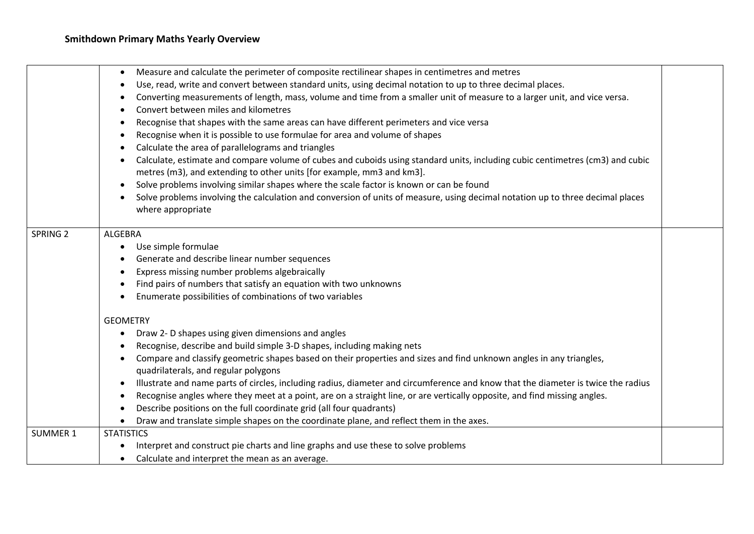|                     | Measure and calculate the perimeter of composite rectilinear shapes in centimetres and metres                                                       |  |
|---------------------|-----------------------------------------------------------------------------------------------------------------------------------------------------|--|
|                     | Use, read, write and convert between standard units, using decimal notation to up to three decimal places.                                          |  |
|                     | Converting measurements of length, mass, volume and time from a smaller unit of measure to a larger unit, and vice versa.                           |  |
|                     | Convert between miles and kilometres                                                                                                                |  |
|                     | Recognise that shapes with the same areas can have different perimeters and vice versa                                                              |  |
|                     | Recognise when it is possible to use formulae for area and volume of shapes                                                                         |  |
|                     | Calculate the area of parallelograms and triangles                                                                                                  |  |
|                     | Calculate, estimate and compare volume of cubes and cuboids using standard units, including cubic centimetres (cm3) and cubic                       |  |
|                     | metres (m3), and extending to other units [for example, mm3 and km3].                                                                               |  |
|                     | Solve problems involving similar shapes where the scale factor is known or can be found                                                             |  |
|                     | Solve problems involving the calculation and conversion of units of measure, using decimal notation up to three decimal places<br>where appropriate |  |
| SPRING <sub>2</sub> | <b>ALGEBRA</b>                                                                                                                                      |  |
|                     | Use simple formulae                                                                                                                                 |  |
|                     | Generate and describe linear number sequences                                                                                                       |  |
|                     | Express missing number problems algebraically                                                                                                       |  |
|                     | Find pairs of numbers that satisfy an equation with two unknowns                                                                                    |  |
|                     | Enumerate possibilities of combinations of two variables                                                                                            |  |
|                     | <b>GEOMETRY</b>                                                                                                                                     |  |
|                     | Draw 2- D shapes using given dimensions and angles                                                                                                  |  |
|                     | Recognise, describe and build simple 3-D shapes, including making nets                                                                              |  |
|                     | Compare and classify geometric shapes based on their properties and sizes and find unknown angles in any triangles,                                 |  |
|                     | quadrilaterals, and regular polygons                                                                                                                |  |
|                     | Illustrate and name parts of circles, including radius, diameter and circumference and know that the diameter is twice the radius                   |  |
|                     | Recognise angles where they meet at a point, are on a straight line, or are vertically opposite, and find missing angles.                           |  |
|                     | Describe positions on the full coordinate grid (all four quadrants)                                                                                 |  |
|                     | Draw and translate simple shapes on the coordinate plane, and reflect them in the axes.                                                             |  |
| <b>SUMMER 1</b>     | <b>STATISTICS</b>                                                                                                                                   |  |
|                     | Interpret and construct pie charts and line graphs and use these to solve problems                                                                  |  |
|                     | Calculate and interpret the mean as an average.                                                                                                     |  |